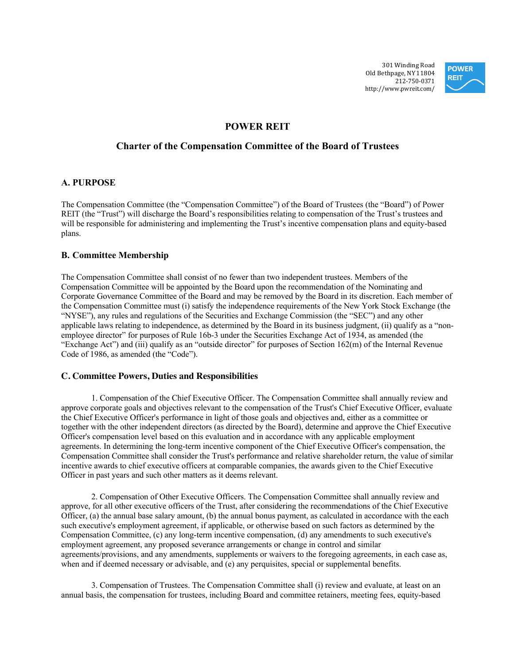301 Winding Road Old Bethpage, NY 11804 212-750-0371 http://www.pwreit.com/



# **POWER REIT**

## **Charter of the Compensation Committee of the Board of Trustees**

## **A. PURPOSE**

The Compensation Committee (the "Compensation Committee") of the Board of Trustees (the "Board") of Power REIT (the "Trust") will discharge the Board's responsibilities relating to compensation of the Trust's trustees and will be responsible for administering and implementing the Trust's incentive compensation plans and equity-based plans.

### **B. Committee Membership**

The Compensation Committee shall consist of no fewer than two independent trustees. Members of the Compensation Committee will be appointed by the Board upon the recommendation of the Nominating and Corporate Governance Committee of the Board and may be removed by the Board in its discretion. Each member of the Compensation Committee must (i) satisfy the independence requirements of the New York Stock Exchange (the "NYSE"), any rules and regulations of the Securities and Exchange Commission (the "SEC") and any other applicable laws relating to independence, as determined by the Board in its business judgment, (ii) qualify as a "nonemployee director" for purposes of Rule 16b-3 under the Securities Exchange Act of 1934, as amended (the "Exchange Act") and (iii) qualify as an "outside director" for purposes of Section 162(m) of the Internal Revenue Code of 1986, as amended (the "Code").

### **C. Committee Powers, Duties and Responsibilities**

1. Compensation of the Chief Executive Officer. The Compensation Committee shall annually review and approve corporate goals and objectives relevant to the compensation of the Trust's Chief Executive Officer, evaluate the Chief Executive Officer's performance in light of those goals and objectives and, either as a committee or together with the other independent directors (as directed by the Board), determine and approve the Chief Executive Officer's compensation level based on this evaluation and in accordance with any applicable employment agreements. In determining the long-term incentive component of the Chief Executive Officer's compensation, the Compensation Committee shall consider the Trust's performance and relative shareholder return, the value of similar incentive awards to chief executive officers at comparable companies, the awards given to the Chief Executive Officer in past years and such other matters as it deems relevant.

2. Compensation of Other Executive Officers. The Compensation Committee shall annually review and approve, for all other executive officers of the Trust, after considering the recommendations of the Chief Executive Officer, (a) the annual base salary amount, (b) the annual bonus payment, as calculated in accordance with the each such executive's employment agreement, if applicable, or otherwise based on such factors as determined by the Compensation Committee, (c) any long-term incentive compensation, (d) any amendments to such executive's employment agreement, any proposed severance arrangements or change in control and similar agreements/provisions, and any amendments, supplements or waivers to the foregoing agreements, in each case as, when and if deemed necessary or advisable, and (e) any perquisites, special or supplemental benefits.

3. Compensation of Trustees. The Compensation Committee shall (i) review and evaluate, at least on an annual basis, the compensation for trustees, including Board and committee retainers, meeting fees, equity-based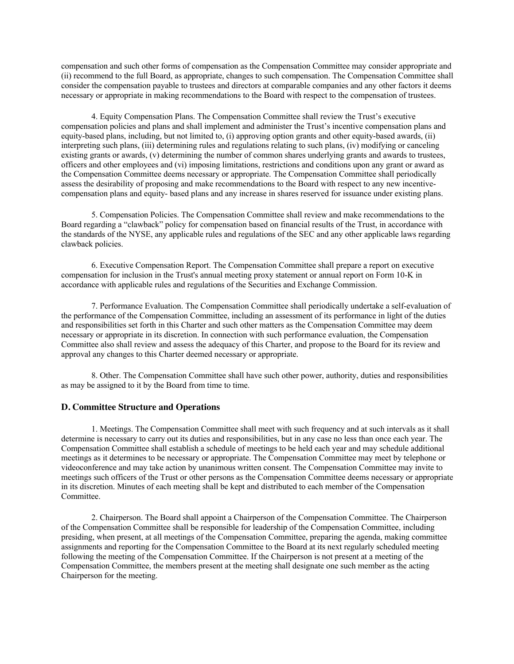compensation and such other forms of compensation as the Compensation Committee may consider appropriate and (ii) recommend to the full Board, as appropriate, changes to such compensation. The Compensation Committee shall consider the compensation payable to trustees and directors at comparable companies and any other factors it deems necessary or appropriate in making recommendations to the Board with respect to the compensation of trustees.

4. Equity Compensation Plans. The Compensation Committee shall review the Trust's executive compensation policies and plans and shall implement and administer the Trust's incentive compensation plans and equity-based plans, including, but not limited to, (i) approving option grants and other equity-based awards, (ii) interpreting such plans, (iii) determining rules and regulations relating to such plans, (iv) modifying or canceling existing grants or awards, (v) determining the number of common shares underlying grants and awards to trustees, officers and other employees and (vi) imposing limitations, restrictions and conditions upon any grant or award as the Compensation Committee deems necessary or appropriate. The Compensation Committee shall periodically assess the desirability of proposing and make recommendations to the Board with respect to any new incentivecompensation plans and equity- based plans and any increase in shares reserved for issuance under existing plans.

5. Compensation Policies. The Compensation Committee shall review and make recommendations to the Board regarding a "clawback" policy for compensation based on financial results of the Trust, in accordance with the standards of the NYSE, any applicable rules and regulations of the SEC and any other applicable laws regarding clawback policies.

6. Executive Compensation Report. The Compensation Committee shall prepare a report on executive compensation for inclusion in the Trust's annual meeting proxy statement or annual report on Form 10-K in accordance with applicable rules and regulations of the Securities and Exchange Commission.

7. Performance Evaluation. The Compensation Committee shall periodically undertake a self-evaluation of the performance of the Compensation Committee, including an assessment of its performance in light of the duties and responsibilities set forth in this Charter and such other matters as the Compensation Committee may deem necessary or appropriate in its discretion. In connection with such performance evaluation, the Compensation Committee also shall review and assess the adequacy of this Charter, and propose to the Board for its review and approval any changes to this Charter deemed necessary or appropriate.

8. Other. The Compensation Committee shall have such other power, authority, duties and responsibilities as may be assigned to it by the Board from time to time.

#### **D. Committee Structure and Operations**

1. Meetings. The Compensation Committee shall meet with such frequency and at such intervals as it shall determine is necessary to carry out its duties and responsibilities, but in any case no less than once each year. The Compensation Committee shall establish a schedule of meetings to be held each year and may schedule additional meetings as it determines to be necessary or appropriate. The Compensation Committee may meet by telephone or videoconference and may take action by unanimous written consent. The Compensation Committee may invite to meetings such officers of the Trust or other persons as the Compensation Committee deems necessary or appropriate in its discretion. Minutes of each meeting shall be kept and distributed to each member of the Compensation Committee.

2. Chairperson. The Board shall appoint a Chairperson of the Compensation Committee. The Chairperson of the Compensation Committee shall be responsible for leadership of the Compensation Committee, including presiding, when present, at all meetings of the Compensation Committee, preparing the agenda, making committee assignments and reporting for the Compensation Committee to the Board at its next regularly scheduled meeting following the meeting of the Compensation Committee. If the Chairperson is not present at a meeting of the Compensation Committee, the members present at the meeting shall designate one such member as the acting Chairperson for the meeting.